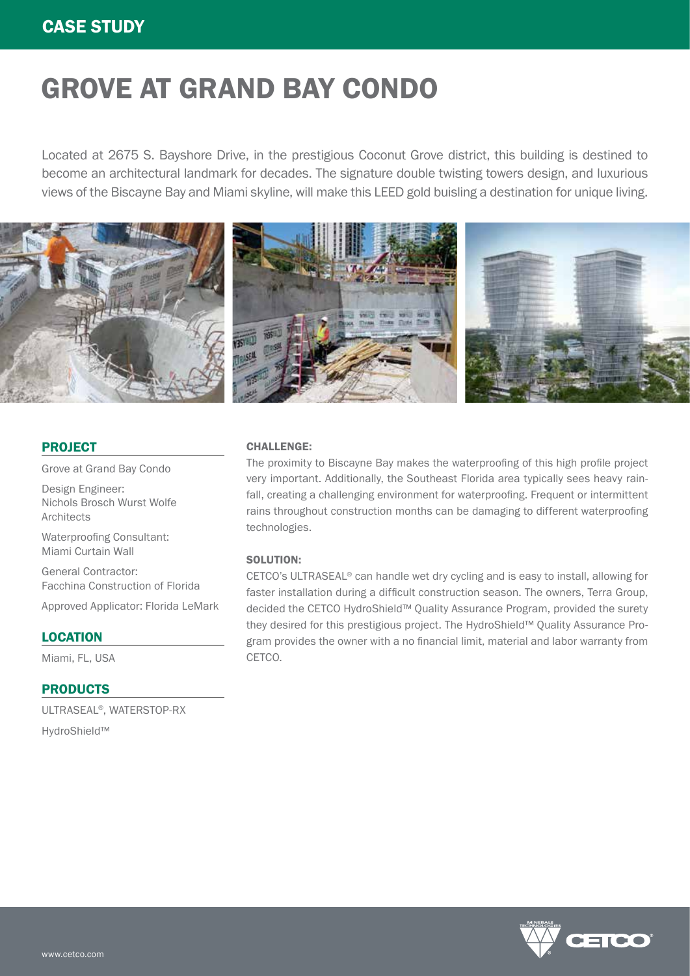# GROVE AT GRAND BAY CONDO

Located at 2675 S. Bayshore Drive, in the prestigious Coconut Grove district, this building is destined to become an architectural landmark for decades. The signature double twisting towers design, and luxurious views of the Biscayne Bay and Miami skyline, will make this LEED gold buisling a destination for unique living.



#### PROJECT

Grove at Grand Bay Condo

Design Engineer: Nichols Brosch Wurst Wolfe **Architects** 

Waterproofing Consultant: Miami Curtain Wall

General Contractor: Facchina Construction of Florida

Approved Applicator: Florida LeMark

LOCATION

Miami, FL, USA

### PRODUCTS

ULTRASEAL®, WATERSTOP-RX HydroShield™

#### CHALLENGE:

The proximity to Biscayne Bay makes the waterproofing of this high profile project very important. Additionally, the Southeast Florida area typically sees heavy rainfall, creating a challenging environment for waterproofing. Frequent or intermittent rains throughout construction months can be damaging to different waterproofing technologies.

#### SOLUTION:

CETCO's ULTRASEAL® can handle wet dry cycling and is easy to install, allowing for faster installation during a difficult construction season. The owners, Terra Group, decided the CETCO HydroShield™ Quality Assurance Program, provided the surety they desired for this prestigious project. The HydroShield™ Quality Assurance Program provides the owner with a no financial limit, material and labor warranty from CETCO.